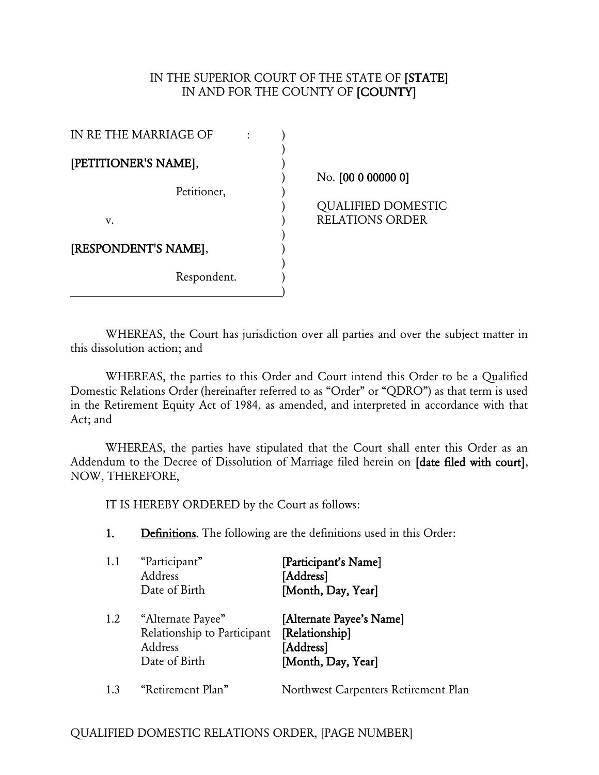#### IN THE SUPERIOR COURT OF THE STATE OF [STATE] IN AND FOR THE COUNTY OF [COUNTY]

| IN RE THE MARRIAGE OF |  |
|-----------------------|--|
| [PETITIONER'S NAME],  |  |
| Petitioner,           |  |
| v.                    |  |
| [RESPONDENT'S NAME],  |  |
| Respondent.           |  |

) No. [00 0 00000 0]

) QUALIFIED DOMESTIC RELATIONS ORDER

WHEREAS, the Court has jurisdiction over all parties and over the subject matter in this dissolution action; and

WHEREAS, the parties to this Order and Court intend this Order to be a Qualified Domestic Relations Order (hereinafter referred to as "Order" or "QDRO") as that term is used in the Retirement Equity Act of 1984, as amended, and interpreted in accordance with that Act; and

WHEREAS, the parties have stipulated that the Court shall enter this Order as an Addendum to the Decree of Dissolution of Marriage filed herein on [date filed with court], NOW, THEREFORE,

IT IS HEREBY ORDERED by the Court as follows:

1. Definitions. The following are the definitions used in this Order:

| 1.1 | "Participant"<br>Address<br>Date of Birth                                    | [Participant's Name]<br>[Address]<br>[Month, Day, Year]                       |
|-----|------------------------------------------------------------------------------|-------------------------------------------------------------------------------|
| 1.2 | "Alternate Payee"<br>Relationship to Participant<br>Address<br>Date of Birth | [Alternate Payee's Name]<br>[Relationship]<br>[Address]<br>[Month, Day, Year] |
| 1.3 | "Retirement Plan"                                                            | Northwest Carpenters Retirement Plan                                          |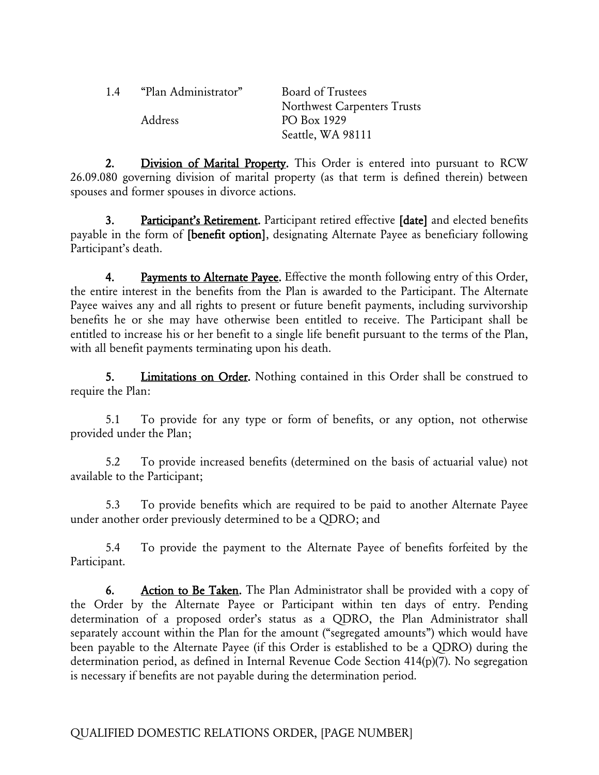| 1.4     | "Plan Administrator" | <b>Board of Trustees</b>    |
|---------|----------------------|-----------------------------|
|         |                      | Northwest Carpenters Trusts |
| Address |                      | PO Box 1929                 |
|         |                      | Seattle, WA 98111           |

2. Division of Marital Property. This Order is entered into pursuant to RCW 26.09.080 governing division of marital property (as that term is defined therein) between spouses and former spouses in divorce actions.

3. Participant's Retirement. Participant retired effective [date] and elected benefits payable in the form of [benefit option], designating Alternate Payee as beneficiary following Participant's death.

4. Payments to Alternate Payee. Effective the month following entry of this Order, the entire interest in the benefits from the Plan is awarded to the Participant. The Alternate Payee waives any and all rights to present or future benefit payments, including survivorship benefits he or she may have otherwise been entitled to receive. The Participant shall be entitled to increase his or her benefit to a single life benefit pursuant to the terms of the Plan, with all benefit payments terminating upon his death.

5. Limitations on Order. Nothing contained in this Order shall be construed to require the Plan:

5.1 To provide for any type or form of benefits, or any option, not otherwise provided under the Plan;

5.2 To provide increased benefits (determined on the basis of actuarial value) not available to the Participant;

5.3 To provide benefits which are required to be paid to another Alternate Payee under another order previously determined to be a QDRO; and

5.4 To provide the payment to the Alternate Payee of benefits forfeited by the Participant.

6. Action to Be Taken. The Plan Administrator shall be provided with a copy of the Order by the Alternate Payee or Participant within ten days of entry. Pending determination of a proposed order's status as a QDRO, the Plan Administrator shall separately account within the Plan for the amount ("segregated amounts") which would have been payable to the Alternate Payee (if this Order is established to be a QDRO) during the determination period, as defined in Internal Revenue Code Section 414(p)(7). No segregation is necessary if benefits are not payable during the determination period.